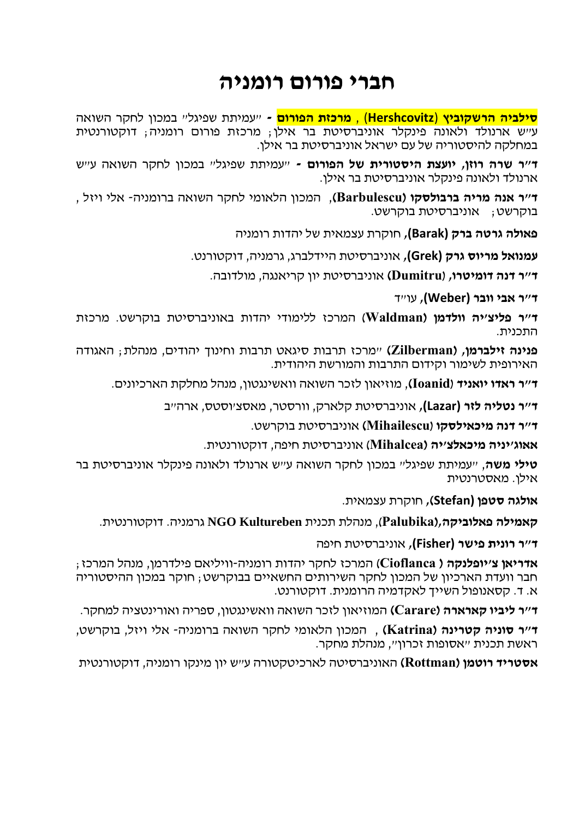#### **חברי פורום רומניה**

**סילביה הרשקוביץ** (**Hershcovitz** (, **מרכזת הפורום -** "עמיתת שפיגל" במכון לחקר השואה ע"ש ארנולד ולאונה פינקלר אוניברסיטת בר אילן; מרכזת פורום רומניה; דוקטורנטית במחלקה להיסטוריה של עם ישראל אוניברסיטת בר אילן.

**ד"ר שרה רוזן, יועצת היסטורית של הפורום -** "עמיתת שפיגל" במכון לחקר השואה ע"ש ארנולד ולאונה פינקלר אוניברסיטת בר אילן.

**ד"ר אנה מריה ברבולסקו )Barbulescu(**, המכון הלאומי לחקר השואה ברומניה- אלי ויזל , בוקרשט; אוניברסיטת בוקרשט.

**פאולה גרטה ברק (Barak(,** חוקרת עצמאית של יהדות רומניה

**עמנואל מריוס גרק (Grek(,** אוניברסיטת היידלברג, גרמניה, דוקטורנט.

**ד"ר דנה דומיטרו,** (**Dumitru (**אוניברסיטת יון קריאנגה, מולדובה.

**ד"ר אבי וובר (Weber(,** עו"ד

**ד"ר פליצ'יה וולדמן )Waldman** )המרכז ללימודי יהדות באוניברסיטת בוקרשט. מרכזת התכנית.

**פנינה זילברמן, (Zilberman**" **(**מרכז תרבות סיגאט תרבות וחינוך יהודים, מנהלת; האגודה האירופית לשימור וקידום התרבות והמורשת היהודית.

**ד"ר ראדו יואניד** (**Ioanid(**, מוזיאון לזכר השואה וואשינגטון, מנהל מחלקת הארכיונים.

**ד"ר נטליה לזר (Lazar(,** אוניברסיטת קלארק, וורסטר, מאסצ'וסטס, ארה"ב

**ד"ר דנה מיכאילסקו** (**Mihailescu (**אוניברסיטת בוקרשט.

**אאוג'יניה מיכאלצ'יה (Mihalcea** )אוניברסיטת חיפה, דוקטורנטית.

**טילי משה**, "עמיתת שפיגל" במכון לחקר השואה ע"ש ארנולד ולאונה פינקלר אוניברסיטת בר אילן. מאסטרנטית

**אולגה סטפן (Stefan),** חוקרת עצמאית.

**קאמילה פאלוביקה,)Palubika**), מנהלת תכנית **Kultureben NGO** גרמניה. דוקטורנטית.

**ד"ר רונית פישר (Fisher(,** אוניברסיטת חיפה

**אדריאן צ'יופלנקה ) Cioflanca** )המרכז לחקר יהדות רומניה-וויליאם פילדרמן, מנהל המרכז; חבר וועדת הארכיון של המכון לחקר השירותים החשאיים בבוקרשט; חוקר במכון ההיסטוריה א. ד. קסאנופול השייך לאקדמיה הרומנית. דוקטורנט.

**ד"ר ליביו קארארה )Carare (**המוזיאון לזכר השואה וואשינגטון, ספריה ואורינטציה למחקר.

**ד"ר סוניה קטרינה )Katrina (**, המכון הלאומי לחקר השואה ברומניה- אלי ויזל, בוקרשט, ראשת תכנית "אסופות זכרון", מנהלת מחקר.

**אסטריד רוטמן )Rottman (**האוניברסיטה לארכיטקטורה ע"ש יון מינקו רומניה, דוקטורנטית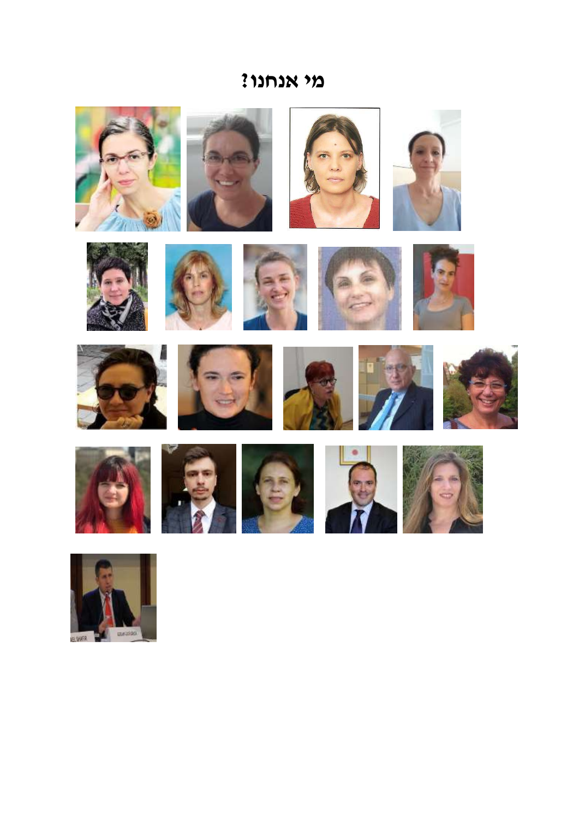#### **מי אנחנו?**







































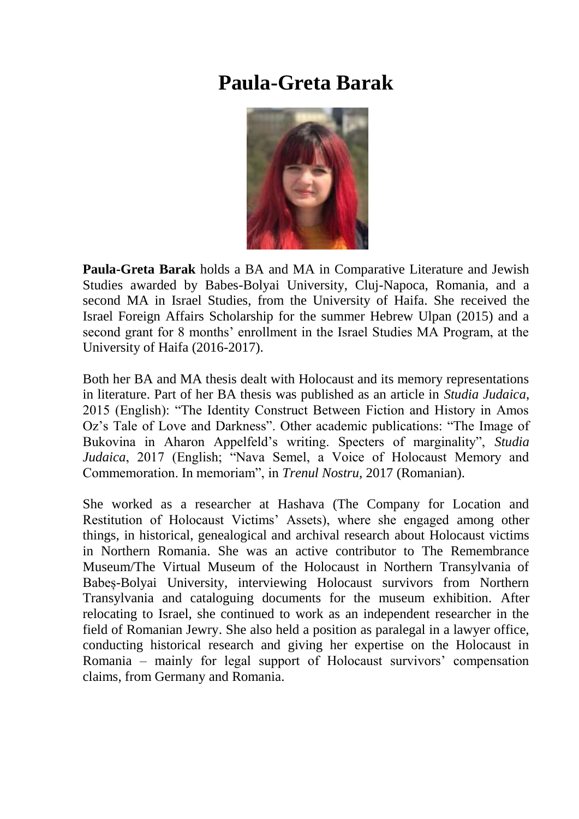#### **Paula-Greta Barak**



**Paula-Greta Barak** holds a BA and MA in Comparative Literature and Jewish Studies awarded by Babes-Bolyai University, Cluj-Napoca, Romania, and a second MA in Israel Studies, from the University of Haifa. She received the Israel Foreign Affairs Scholarship for the summer Hebrew Ulpan (2015) and a second grant for 8 months' enrollment in the Israel Studies MA Program, at the University of Haifa (2016-2017).

Both her BA and MA thesis dealt with Holocaust and its memory representations in literature. Part of her BA thesis was published as an article in *Studia Judaica*, 2015 (English): "The Identity Construct Between Fiction and History in Amos Oz's Tale of Love and Darkness". Other academic publications: "The Image of Bukovina in Aharon Appelfeld's writing. Specters of marginality", *Studia Judaica*, 2017 (English; "Nava Semel, a Voice of Holocaust Memory and Commemoration. In memoriam", in *Trenul Nostru*, 2017 (Romanian).

She worked as a researcher at Hashava (The Company for Location and Restitution of Holocaust Victims' Assets), where she engaged among other things, in historical, genealogical and archival research about Holocaust victims in Northern Romania. She was an active contributor to The Remembrance Museum/The Virtual Museum of the Holocaust in Northern Transylvania of Babeș-Bolyai University, interviewing Holocaust survivors from Northern Transylvania and cataloguing documents for the museum exhibition. After relocating to Israel, she continued to work as an independent researcher in the field of Romanian Jewry. She also held a position as paralegal in a lawyer office, conducting historical research and giving her expertise on the Holocaust in Romania – mainly for legal support of Holocaust survivors' compensation claims, from Germany and Romania.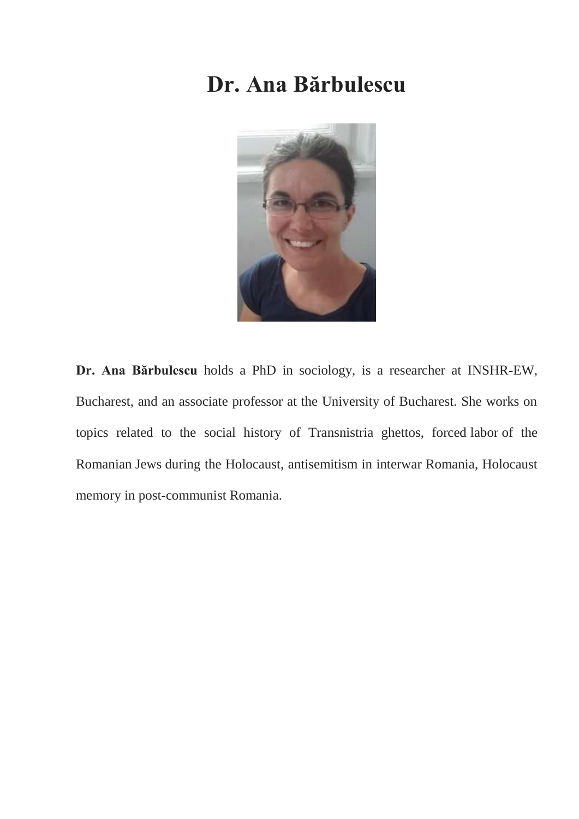## **Dr. Ana Bărbulescu**



**Dr. Ana Bărbulescu** holds a PhD in sociology, is a researcher at INSHR-EW, Bucharest, and an associate professor at the University of Bucharest. She works on topics related to the social history of Transnistria ghettos, forced labor of the Romanian Jews during the Holocaust, antisemitism in interwar Romania, Holocaust memory in post-communist Romania.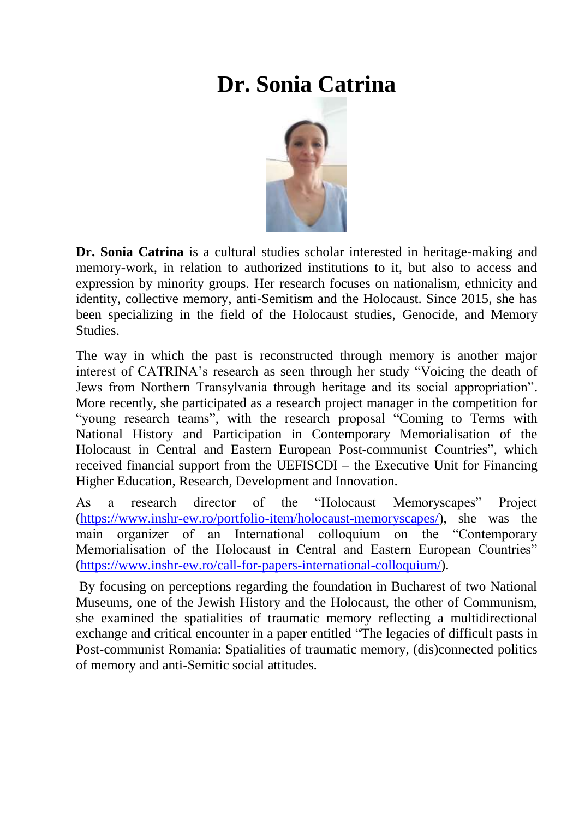# **Dr. Sonia Catrina**



**Dr. Sonia Catrina** is a cultural studies scholar interested in heritage-making and memory-work, in relation to authorized institutions to it, but also to access and expression by minority groups. Her research focuses on nationalism, ethnicity and identity, collective memory, anti-Semitism and the Holocaust. Since 2015, she has been specializing in the field of the Holocaust studies, Genocide, and Memory **Studies** 

The way in which the past is reconstructed through memory is another major interest of CATRINA's research as seen through her study "Voicing the death of Jews from Northern Transylvania through heritage and its social appropriation". More recently, she participated as a research project manager in the competition for "young research teams", with the research proposal "Coming to Terms with National History and Participation in Contemporary Memorialisation of the Holocaust in Central and Eastern European Post-communist Countries", which received financial support from the UEFISCDI – the Executive Unit for Financing Higher Education, Research, Development and Innovation.

As a research director of the "Holocaust Memoryscapes" Project [\(https://www.inshr-ew.ro/portfolio-item/holocaust-memoryscapes/\)](https://www.inshr-ew.ro/portfolio-item/holocaust-memoryscapes/), she was the main organizer of an International colloquium on the "Contemporary Memorialisation of the Holocaust in Central and Eastern European Countries" [\(https://www.inshr-ew.ro/call-for-papers-international-colloquium/\)](https://www.inshr-ew.ro/call-for-papers-international-colloquium/).

By focusing on perceptions regarding the foundation in Bucharest of two National Museums, one of the Jewish History and the Holocaust, the other of Communism, she examined the spatialities of traumatic memory reflecting a multidirectional exchange and critical encounter in a paper entitled "The legacies of difficult pasts in Post-communist Romania: Spatialities of traumatic memory, (dis)connected politics of memory and anti-Semitic social attitudes.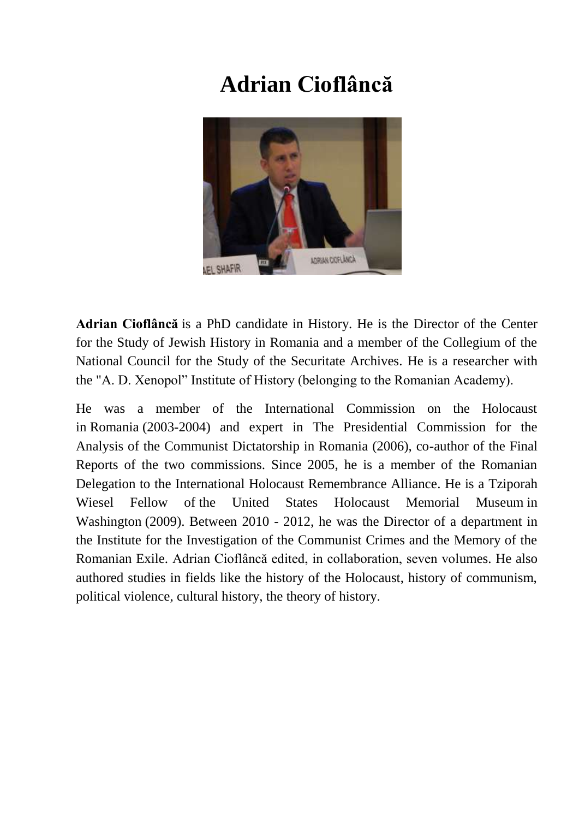# **Adrian Cioflâncă**



**Adrian Cioflâncă** is a PhD candidate in History. He is the Director of the Center for the Study of Jewish History in Romania and a member of the Collegium of the National Council for the Study of the Securitate Archives. He is a researcher with the "A. D. Xenopol" Institute of History (belonging to the Romanian Academy).

He was a member of the International Commission on the Holocaust in Romania (2003-2004) and expert in The Presidential Commission for the Analysis of the Communist Dictatorship in Romania (2006), co-author of the Final Reports of the two commissions. Since 2005, he is a member of the Romanian Delegation to the International Holocaust Remembrance Alliance. He is a Tziporah Wiesel Fellow of the United States Holocaust Memorial Museum in Washington (2009). Between 2010 - 2012, he was the Director of a department in the Institute for the Investigation of the Communist Crimes and the Memory of the Romanian Exile. Adrian Cioflâncă edited, in collaboration, seven volumes. He also authored studies in fields like the history of the Holocaust, history of communism, political violence, cultural history, the theory of history.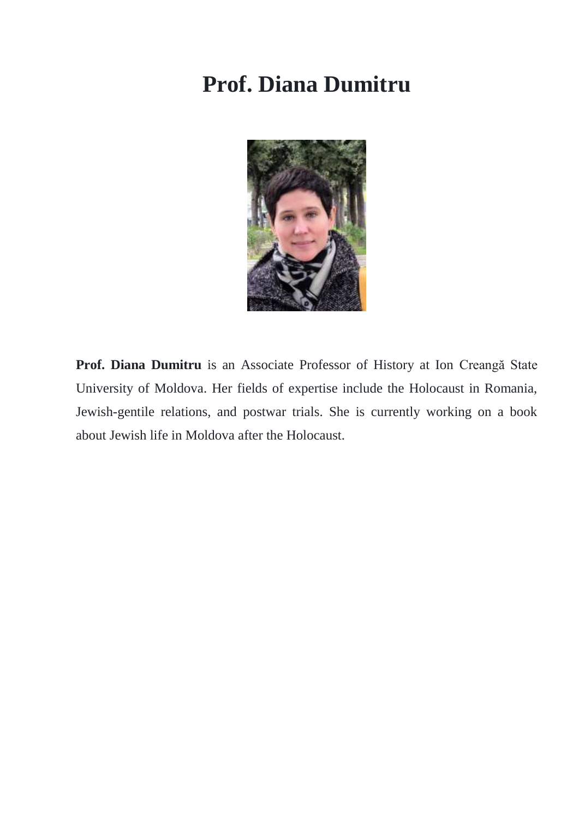#### **Prof. Diana Dumitru**



**Prof. Diana Dumitru** is an Associate Professor of History at Ion Creangă State University of Moldova. Her fields of expertise include the Holocaust in Romania, Jewish-gentile relations, and postwar trials. She is currently working on a book about Jewish life in Moldova after the Holocaust.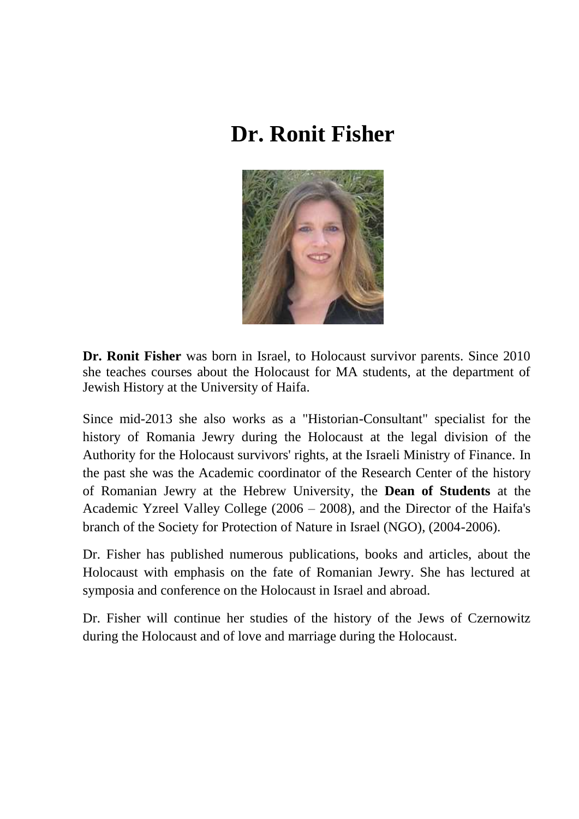## **Dr. Ronit Fisher**



**Dr. Ronit Fisher** was born in Israel, to Holocaust survivor parents. Since 2010 she teaches courses about the Holocaust for MA students, at the department of Jewish History at the University of Haifa.

Since mid-2013 she also works as a "Historian-Consultant" specialist for the history of Romania Jewry during the Holocaust at the legal division of the Authority for the Holocaust survivors' rights, at the Israeli Ministry of Finance. In the past she was the Academic coordinator of the Research Center of the history of Romanian Jewry at the Hebrew University, the **Dean of Students** at the Academic Yzreel Valley College (2006 – 2008), and the Director of the Haifa's branch of the Society for Protection of Nature in Israel (NGO), (2004-2006).

Dr. Fisher has published numerous publications, books and articles, about the Holocaust with emphasis on the fate of Romanian Jewry. She has lectured at symposia and conference on the Holocaust in Israel and abroad.

Dr. Fisher will continue her studies of the history of the Jews of Czernowitz during the Holocaust and of love and marriage during the Holocaust.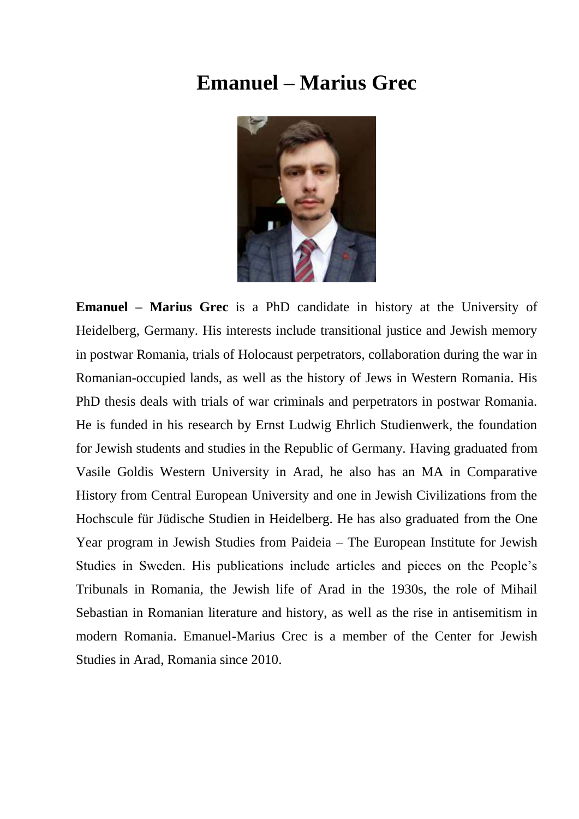#### **Emanuel – Marius Grec**



**Emanuel – Marius Grec** is a PhD candidate in history at the University of Heidelberg, Germany. His interests include transitional justice and Jewish memory in postwar Romania, trials of Holocaust perpetrators, collaboration during the war in Romanian-occupied lands, as well as the history of Jews in Western Romania. His PhD thesis deals with trials of war criminals and perpetrators in postwar Romania. He is funded in his research by Ernst Ludwig Ehrlich Studienwerk, the foundation for Jewish students and studies in the Republic of Germany. Having graduated from Vasile Goldis Western University in Arad, he also has an MA in Comparative History from Central European University and one in Jewish Civilizations from the Hochscule für Jüdische Studien in Heidelberg. He has also graduated from the One Year program in Jewish Studies from Paideia – The European Institute for Jewish Studies in Sweden. His publications include articles and pieces on the People's Tribunals in Romania, the Jewish life of Arad in the 1930s, the role of Mihail Sebastian in Romanian literature and history, as well as the rise in antisemitism in modern Romania. Emanuel-Marius Crec is a member of the Center for Jewish Studies in Arad, Romania since 2010.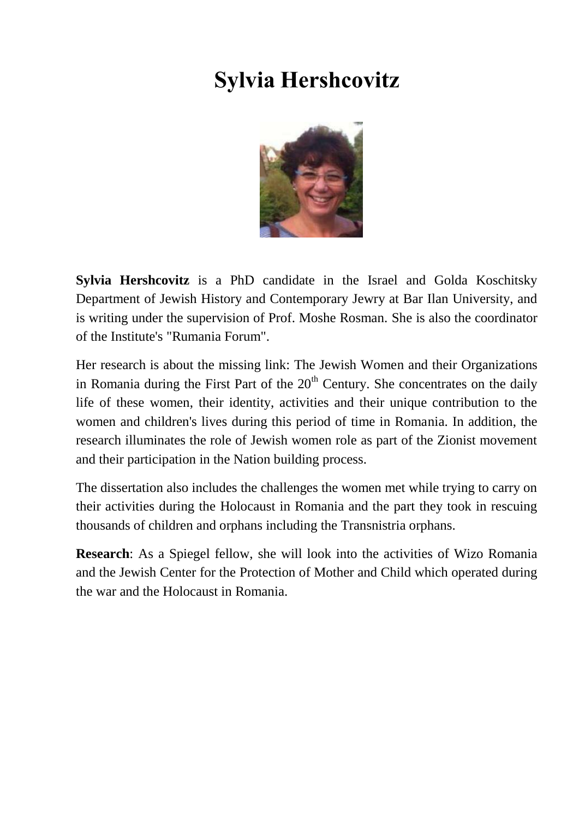# **Sylvia Hershcovitz**



**Sylvia Hershcovitz** is a PhD candidate in the Israel and Golda Koschitsky Department of Jewish History and Contemporary Jewry at Bar Ilan University, and is writing under the supervision of Prof. Moshe Rosman. She is also the coordinator of the Institute's "Rumania Forum".

Her research is about the missing link: The Jewish Women and their Organizations in Romania during the First Part of the  $20<sup>th</sup>$  Century. She concentrates on the daily life of these women, their identity, activities and their unique contribution to the women and children's lives during this period of time in Romania. In addition, the research illuminates the role of Jewish women role as part of the Zionist movement and their participation in the Nation building process.

The dissertation also includes the challenges the women met while trying to carry on their activities during the Holocaust in Romania and the part they took in rescuing thousands of children and orphans including the Transnistria orphans.

**Research**: As a Spiegel fellow, she will look into the activities of Wizo Romania and the Jewish Center for the Protection of Mother and Child which operated during the war and the Holocaust in Romania.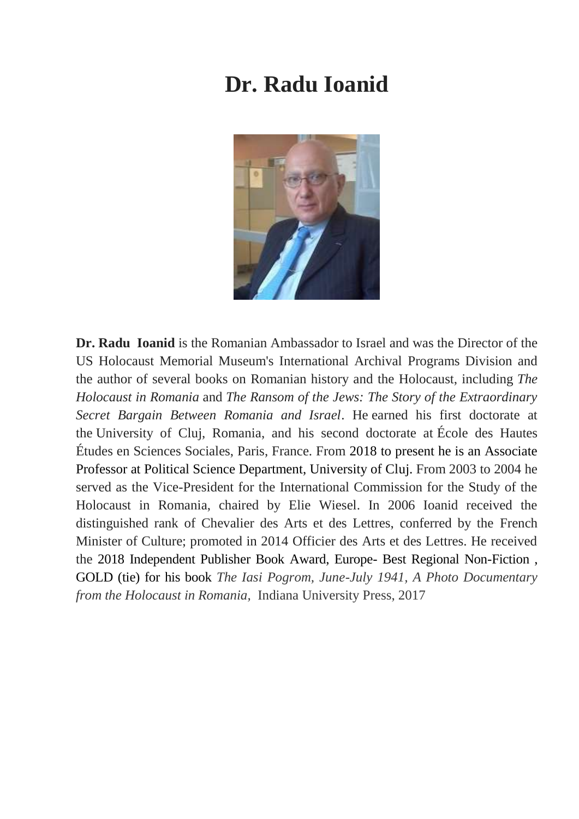#### **Dr. Radu Ioanid**



**Dr. Radu Ioanid** is the Romanian Ambassador to Israel and was the Director of the US Holocaust Memorial Museum's International Archival Programs Division and the author of several books on Romanian history and the Holocaust, including *The Holocaust in Romania* and *The Ransom of the Jews: The Story of the Extraordinary Secret Bargain Between Romania and Israel*. He earned his first doctorate at the University of Cluj, Romania, and his second doctorate at École des Hautes Études en Sciences Sociales, Paris, France. From 2018 to present he is an Associate Professor at Political Science Department, University of Cluj. From 2003 to 2004 he served as the Vice-President for the International Commission for the Study of the Holocaust in Romania, chaired by Elie Wiesel. In 2006 Ioanid received the distinguished rank of Chevalier des Arts et des Lettres, conferred by the French Minister of Culture; promoted in 2014 Officier des Arts et des Lettres. He received the 2018 Independent Publisher Book Award, Europe- Best Regional Non-Fiction , GOLD (tie) for his book *The Iasi Pogrom, June-July 1941, A Photo Documentary from the Holocaust in Romania,* Indiana University Press, 2017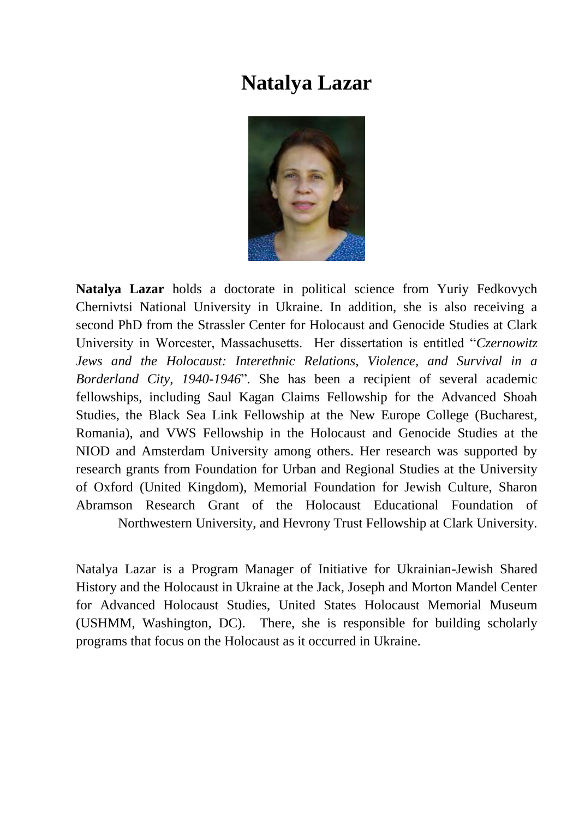#### **Natalya Lazar**



**Natalya Lazar** holds a doctorate in political science from Yuriy Fedkovych Chernivtsi National University in Ukraine. In addition, she is also receiving a second PhD from the Strassler Center for Holocaust and Genocide Studies at Clark University in Worcester, Massachusetts. Her dissertation is entitled "*Czernowitz Jews and the Holocaust: Interethnic Relations, Violence, and Survival in a Borderland City, 1940-1946*". She has been a recipient of several academic fellowships, including Saul Kagan Claims Fellowship for the Advanced Shoah Studies, the Black Sea Link Fellowship at the New Europe College (Bucharest, Romania), and VWS Fellowship in the Holocaust and Genocide Studies at the NIOD and Amsterdam University among others. Her research was supported by research grants from Foundation for Urban and Regional Studies at the University of Oxford (United Kingdom), Memorial Foundation for Jewish Culture, Sharon Abramson Research Grant of the Holocaust Educational Foundation of Northwestern University, and Hevrony Trust Fellowship at Clark University.

Natalya Lazar is a Program Manager of Initiative for Ukrainian-Jewish Shared History and the Holocaust in Ukraine at the Jack, Joseph and Morton Mandel Center for Advanced Holocaust Studies, United States Holocaust Memorial Museum (USHMM, Washington, DC). There, she is responsible for building scholarly programs that focus on the Holocaust as it occurred in Ukraine.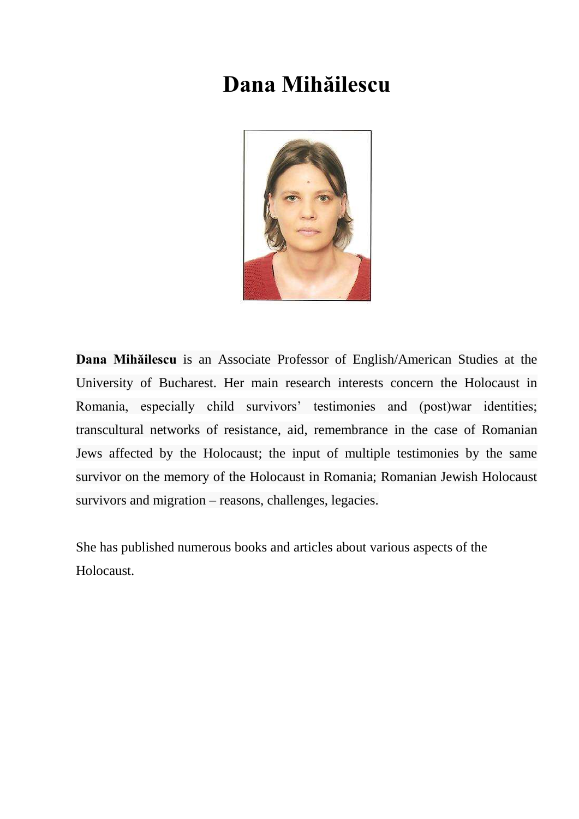## **Dana Mihăilescu**



**Dana Mihăilescu** is an Associate Professor of English/American Studies at the University of Bucharest. Her main research interests concern the Holocaust in Romania, especially child survivors' testimonies and (post)war identities; transcultural networks of resistance, aid, remembrance in the case of Romanian Jews affected by the Holocaust; the input of multiple testimonies by the same survivor on the memory of the Holocaust in Romania; Romanian Jewish Holocaust survivors and migration – reasons, challenges, legacies.

She has published numerous books and articles about various aspects of the Holocaust.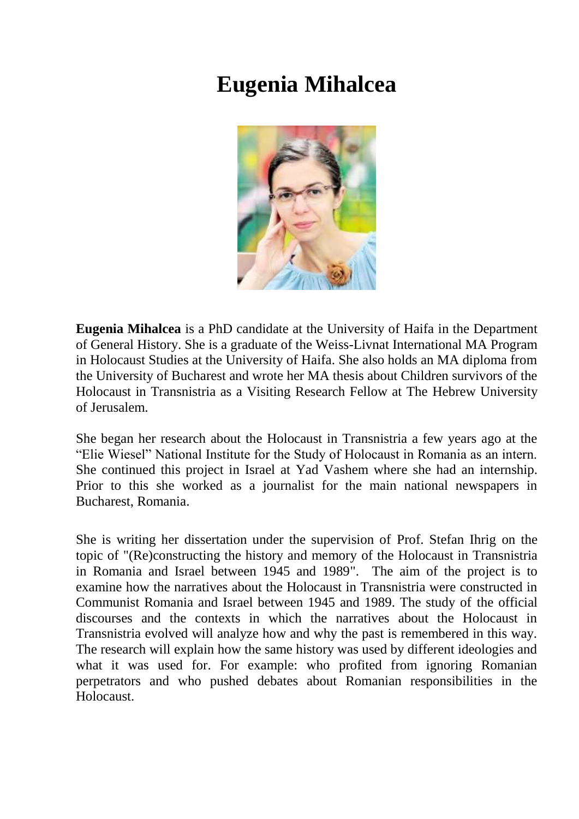#### **Eugenia Mihalcea**



**Eugenia Mihalcea** is a PhD candidate at the University of Haifa in the Department of General History. She is a graduate of the Weiss-Livnat International MA Program in Holocaust Studies at the University of Haifa. She also holds an MA diploma from the University of Bucharest and wrote her MA thesis about Children survivors of the Holocaust in Transnistria as a Visiting Research Fellow at The Hebrew University of Jerusalem.

She began her research about the Holocaust in Transnistria a few years ago at the "Elie Wiesel" National Institute for the Study of Holocaust in Romania as an intern. She continued this project in Israel at Yad Vashem where she had an internship. Prior to this she worked as a journalist for the main national newspapers in Bucharest, Romania.

She is writing her dissertation under the supervision of Prof. Stefan Ihrig on the topic of "(Re)constructing the history and memory of the Holocaust in Transnistria in Romania and Israel between 1945 and 1989". The aim of the project is to examine how the narratives about the Holocaust in Transnistria were constructed in Communist Romania and Israel between 1945 and 1989. The study of the official discourses and the contexts in which the narratives about the Holocaust in Transnistria evolved will analyze how and why the past is remembered in this way. The research will explain how the same history was used by different ideologies and what it was used for. For example: who profited from ignoring Romanian perpetrators and who pushed debates about Romanian responsibilities in the Holocaust.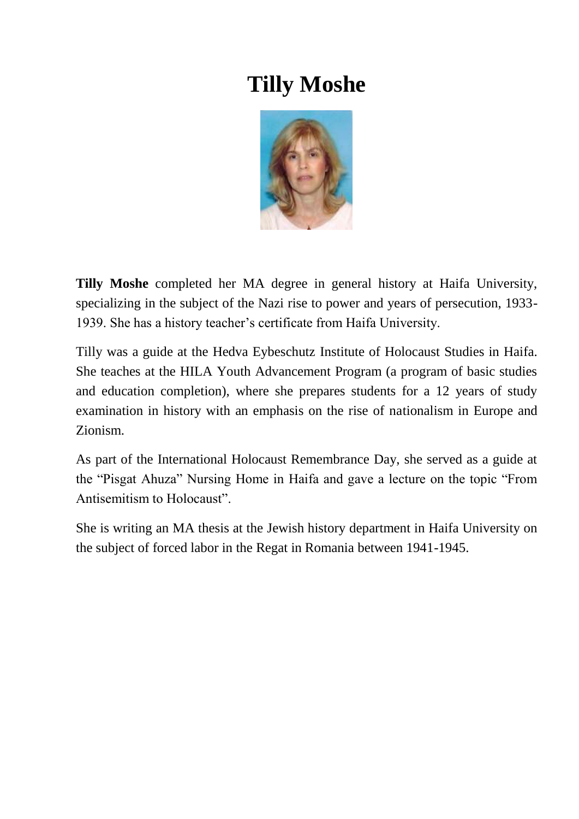## **Tilly Moshe**



**Tilly Moshe** completed her MA degree in general history at Haifa University, specializing in the subject of the Nazi rise to power and years of persecution, 1933- 1939. She has a history teacher's certificate from Haifa University.

Tilly was a guide at the Hedva Eybeschutz Institute of Holocaust Studies in Haifa. She teaches at the HILA Youth Advancement Program (a program of basic studies and education completion), where she prepares students for a 12 years of study examination in history with an emphasis on the rise of nationalism in Europe and Zionism.

As part of the International Holocaust Remembrance Day, she served as a guide at the "Pisgat Ahuza" Nursing Home in Haifa and gave a lecture on the topic "From Antisemitism to Holocaust".

She is writing an MA thesis at the Jewish history department in Haifa University on the subject of forced labor in the Regat in Romania between 1941-1945.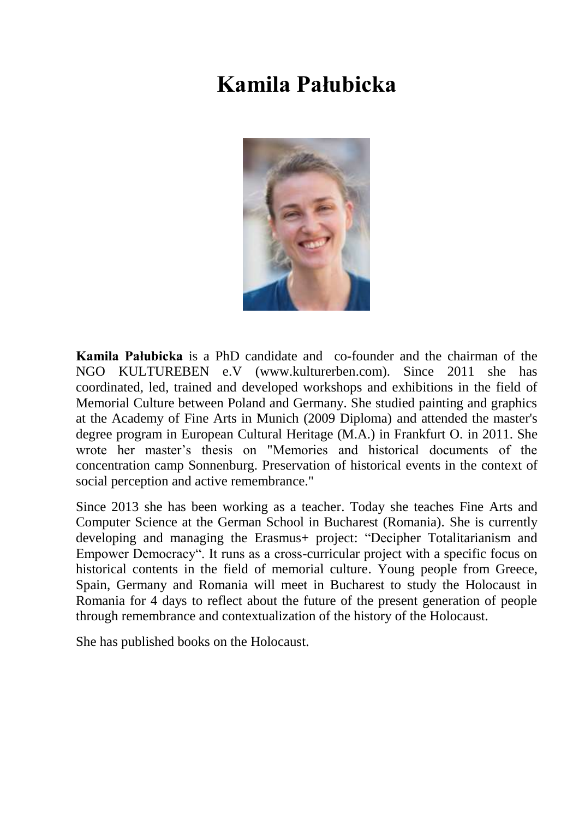## **Kamila Pałubicka**



**Kamila Pałubicka** is a PhD candidate and co-founder and the chairman of the NGO KULTUREBEN e.V (www.kulturerben.com). Since 2011 she has coordinated, led, trained and developed workshops and exhibitions in the field of Memorial Culture between Poland and Germany. She studied painting and graphics at the Academy of Fine Arts in Munich (2009 Diploma) and attended the master's degree program in European Cultural Heritage (M.A.) in Frankfurt O. in 2011. She wrote her master's thesis on "Memories and historical documents of the concentration camp Sonnenburg. Preservation of historical events in the context of social perception and active remembrance."

Since 2013 she has been working as a teacher. Today she teaches Fine Arts and Computer Science at the German School in Bucharest (Romania). She is currently developing and managing the Erasmus+ project: "Decipher Totalitarianism and Empower Democracy". It runs as a cross-curricular project with a specific focus on historical contents in the field of memorial culture. Young people from Greece, Spain, Germany and Romania will meet in Bucharest to study the Holocaust in Romania for 4 days to reflect about the future of the present generation of people through remembrance and contextualization of the history of the Holocaust.

She has published books on the Holocaust.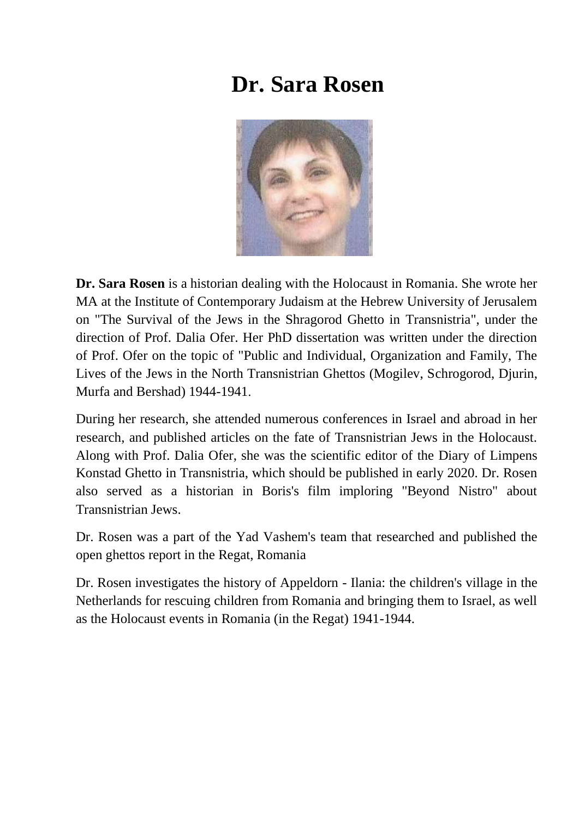#### **Dr. Sara Rosen**



**Dr. Sara Rosen** is a historian dealing with the Holocaust in Romania. She wrote her MA at the Institute of Contemporary Judaism at the Hebrew University of Jerusalem on "The Survival of the Jews in the Shragorod Ghetto in Transnistria", under the direction of Prof. Dalia Ofer. Her PhD dissertation was written under the direction of Prof. Ofer on the topic of "Public and Individual, Organization and Family, The Lives of the Jews in the North Transnistrian Ghettos (Mogilev, Schrogorod, Djurin, Murfa and Bershad) 1944-1941.

During her research, she attended numerous conferences in Israel and abroad in her research, and published articles on the fate of Transnistrian Jews in the Holocaust. Along with Prof. Dalia Ofer, she was the scientific editor of the Diary of Limpens Konstad Ghetto in Transnistria, which should be published in early 2020. Dr. Rosen also served as a historian in Boris's film imploring "Beyond Nistro" about Transnistrian Jews.

Dr. Rosen was a part of the Yad Vashem's team that researched and published the open ghettos report in the Regat, Romania

Dr. Rosen investigates the history of Appeldorn - Ilania: the children's village in the Netherlands for rescuing children from Romania and bringing them to Israel, as well as the Holocaust events in Romania (in the Regat) 1941-1944.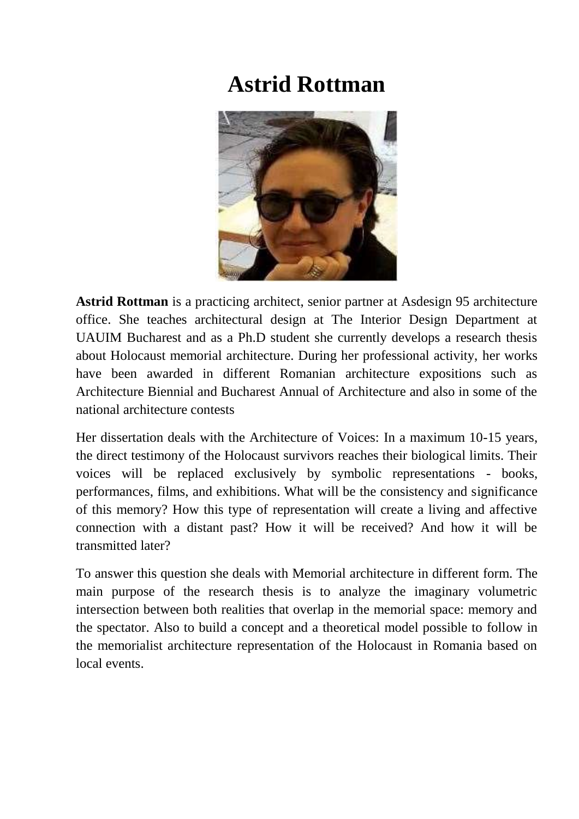## **Astrid Rottman**



**Astrid Rottman** is a practicing architect, senior partner at Asdesign 95 architecture office. She teaches architectural design at The Interior Design Department at UAUIM Bucharest and as a Ph.D student she currently develops a research thesis about Holocaust memorial architecture. During her professional activity, her works have been awarded in different Romanian architecture expositions such as Architecture Biennial and Bucharest Annual of Architecture and also in some of the national architecture contests

Her dissertation deals with the Architecture of Voices: In a maximum 10-15 years, the direct testimony of the Holocaust survivors reaches their biological limits. Their voices will be replaced exclusively by symbolic representations - books, performances, films, and exhibitions. What will be the consistency and significance of this memory? How this type of representation will create a living and affective connection with a distant past? How it will be received? And how it will be transmitted later?

To answer this question she deals with Memorial architecture in different form. The main purpose of the research thesis is to analyze the imaginary volumetric intersection between both realities that overlap in the memorial space: memory and the spectator. Also to build a concept and a theoretical model possible to follow in the memorialist architecture representation of the Holocaust in Romania based on local events.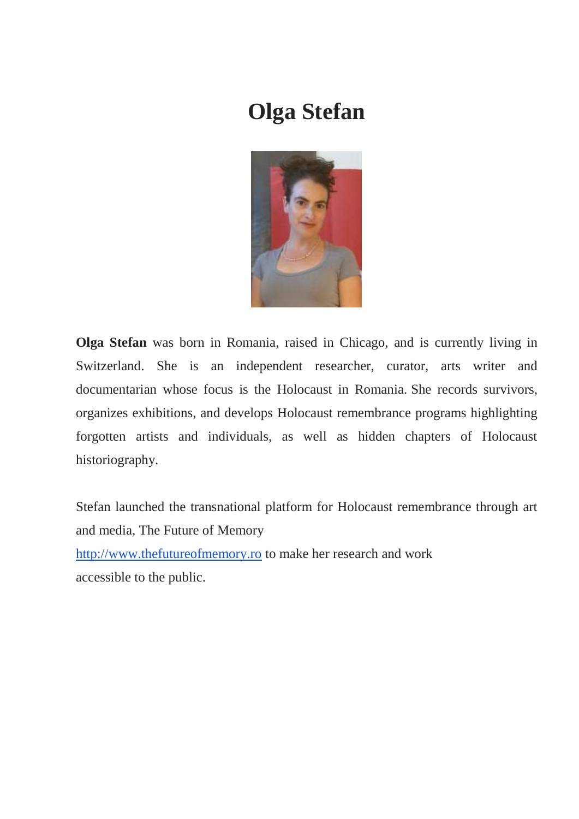# **Olga Stefan**



**Olga Stefan** was born in Romania, raised in Chicago, and is currently living in Switzerland. She is an independent researcher, curator, arts writer and documentarian whose focus is the Holocaust in Romania. She records survivors, organizes exhibitions, and develops Holocaust remembrance programs highlighting forgotten artists and individuals, as well as hidden chapters of Holocaust historiography.

Stefan launched the transnational platform for Holocaust remembrance through art and media, The Future of Memory

[http://www.thefutureofmemory.ro](http://www.thefutureofmemory.ro/) to make her research and work accessible to the public.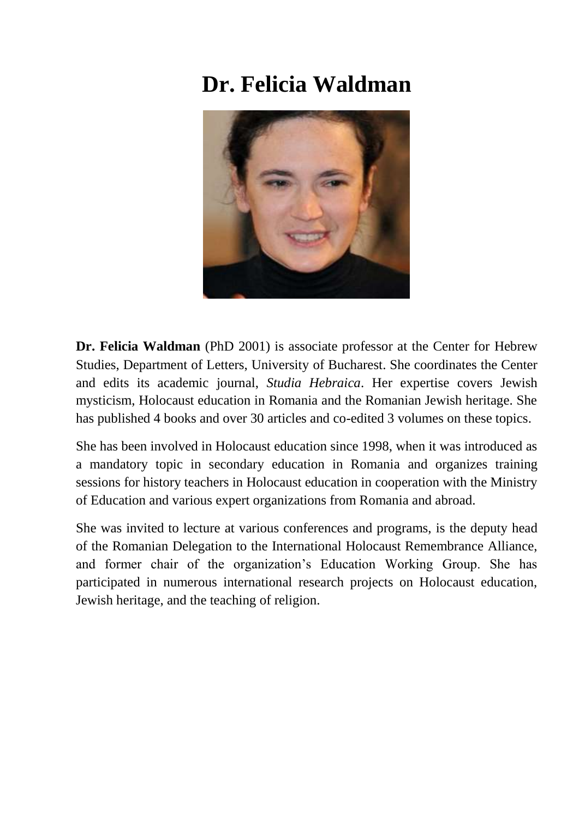# **Dr. Felicia Waldman**



**Dr. Felicia Waldman** (PhD 2001) is associate professor at the Center for Hebrew Studies, Department of Letters, University of Bucharest. She coordinates the Center and edits its academic journal, *Studia Hebraica*. Her expertise covers Jewish mysticism, Holocaust education in Romania and the Romanian Jewish heritage. She has published 4 books and over 30 articles and co-edited 3 volumes on these topics.

She has been involved in Holocaust education since 1998, when it was introduced as a mandatory topic in secondary education in Romania and organizes training sessions for history teachers in Holocaust education in cooperation with the Ministry of Education and various expert organizations from Romania and abroad.

She was invited to lecture at various conferences and programs, is the deputy head of the Romanian Delegation to the International Holocaust Remembrance Alliance, and former chair of the organization's Education Working Group. She has participated in numerous international research projects on Holocaust education, Jewish heritage, and the teaching of religion.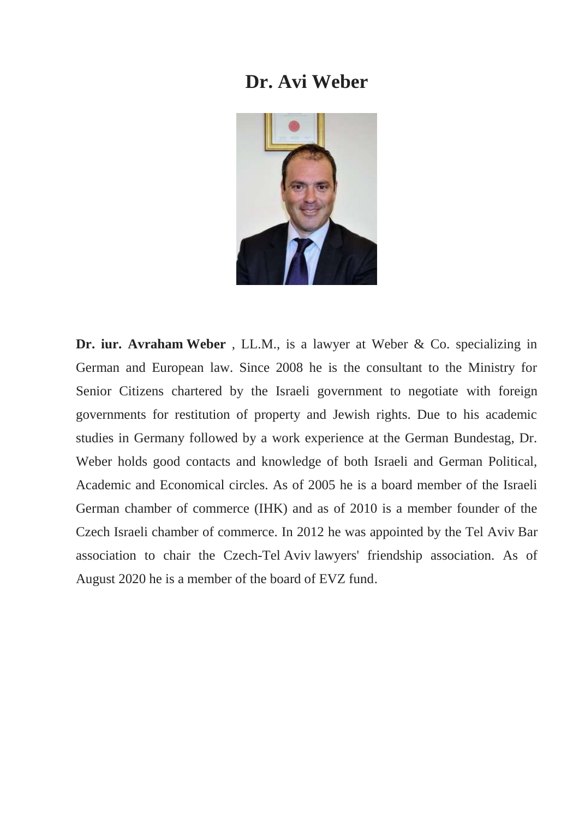#### **Dr. Avi Weber**



**Dr. iur. Avraham Weber** , LL.M., is a lawyer at Weber & Co. specializing in German and European law. Since 2008 he is the consultant to the Ministry for Senior Citizens chartered by the Israeli government to negotiate with foreign governments for restitution of property and Jewish rights. Due to his academic studies in Germany followed by a work experience at the German Bundestag, Dr. Weber holds good contacts and knowledge of both Israeli and German Political, Academic and Economical circles. As of 2005 he is a board member of the Israeli German chamber of commerce (IHK) and as of 2010 is a member founder of the Czech Israeli chamber of commerce. In 2012 he was appointed by the Tel Aviv Bar association to chair the Czech-Tel Aviv lawyers' friendship association. As of August 2020 he is a member of the board of EVZ fund.